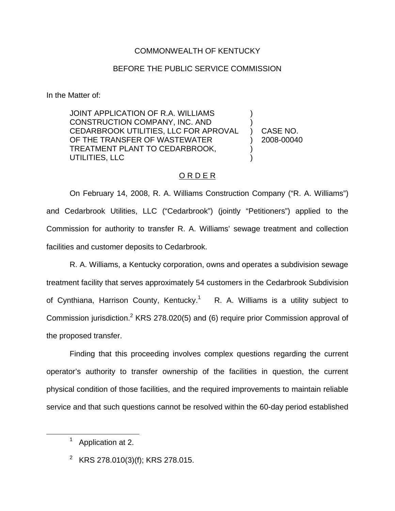### COMMONWEALTH OF KENTUCKY

#### BEFORE THE PUBLIC SERVICE COMMISSION

In the Matter of:

JOINT APPLICATION OF R.A. WILLIAMS CONSTRUCTION COMPANY, INC. AND CEDARBROOK UTILITIES, LLC FOR APROVAL OF THE TRANSFER OF WASTEWATER TREATMENT PLANT TO CEDARBROOK, UTILITIES, LLC ) ) ) CASE NO. ) 2008-00040 ) )

### O R D E R

On February 14, 2008, R. A. Williams Construction Company ("R. A. Williams") and Cedarbrook Utilities, LLC ("Cedarbrook") (jointly "Petitioners") applied to the Commission for authority to transfer R. A. Williams' sewage treatment and collection facilities and customer deposits to Cedarbrook.

R. A. Williams, a Kentucky corporation, owns and operates a subdivision sewage treatment facility that serves approximately 54 customers in the Cedarbrook Subdivision of Cynthiana, Harrison County, Kentucky.<sup>1</sup> R. A. Williams is a utility subject to Commission jurisdiction.2 KRS 278.020(5) and (6) require prior Commission approval of the proposed transfer.

Finding that this proceeding involves complex questions regarding the current operator's authority to transfer ownership of the facilities in question, the current physical condition of those facilities, and the required improvements to maintain reliable service and that such questions cannot be resolved within the 60-day period established

Application at 2.

<sup>&</sup>lt;sup>2</sup> KRS 278.010(3)(f); KRS 278.015.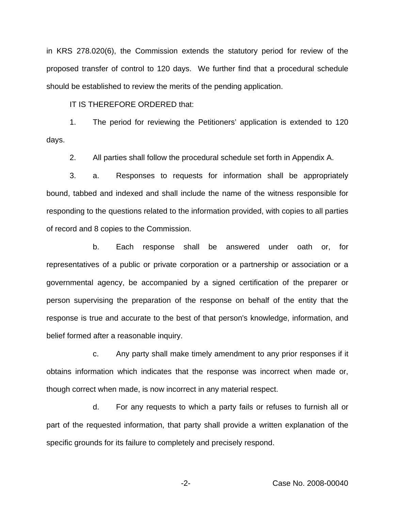in KRS 278.020(6), the Commission extends the statutory period for review of the proposed transfer of control to 120 days. We further find that a procedural schedule should be established to review the merits of the pending application.

IT IS THEREFORE ORDERED that:

1. The period for reviewing the Petitioners' application is extended to 120 days.

2. All parties shall follow the procedural schedule set forth in Appendix A.

3. a. Responses to requests for information shall be appropriately bound, tabbed and indexed and shall include the name of the witness responsible for responding to the questions related to the information provided, with copies to all parties of record and 8 copies to the Commission.

b. Each response shall be answered under oath or, for representatives of a public or private corporation or a partnership or association or a governmental agency, be accompanied by a signed certification of the preparer or person supervising the preparation of the response on behalf of the entity that the response is true and accurate to the best of that person's knowledge, information, and belief formed after a reasonable inquiry.

c. Any party shall make timely amendment to any prior responses if it obtains information which indicates that the response was incorrect when made or, though correct when made, is now incorrect in any material respect.

d. For any requests to which a party fails or refuses to furnish all or part of the requested information, that party shall provide a written explanation of the specific grounds for its failure to completely and precisely respond.

-2- Case No. 2008-00040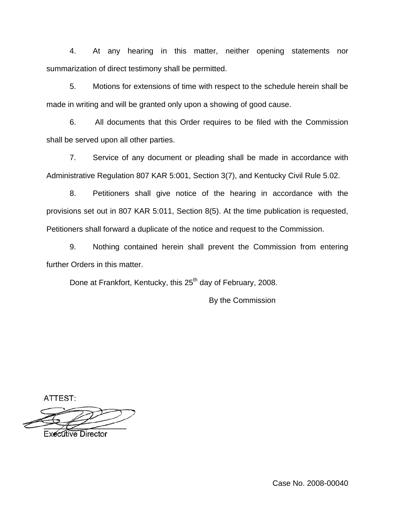4. At any hearing in this matter, neither opening statements nor summarization of direct testimony shall be permitted.

5. Motions for extensions of time with respect to the schedule herein shall be made in writing and will be granted only upon a showing of good cause.

6. All documents that this Order requires to be filed with the Commission shall be served upon all other parties.

7. Service of any document or pleading shall be made in accordance with Administrative Regulation 807 KAR 5:001, Section 3(7), and Kentucky Civil Rule 5.02.

8. Petitioners shall give notice of the hearing in accordance with the provisions set out in 807 KAR 5:011, Section 8(5). At the time publication is requested, Petitioners shall forward a duplicate of the notice and request to the Commission.

9. Nothing contained herein shall prevent the Commission from entering further Orders in this matter.

Done at Frankfort, Kentucky, this 25<sup>th</sup> day of February, 2008.

By the Commission

ATTEST:

Executive Director

Case No. 2008-00040